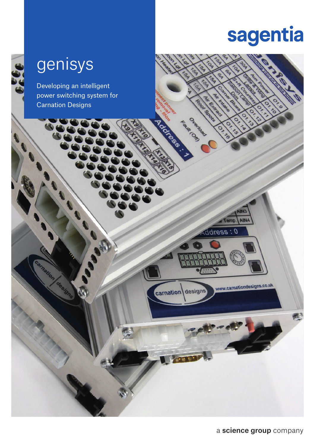## sagentia

## genisys

Developing an intelligent power switching system for Carnation Designs

a Temp

ddress: 0

**POOL** SUR CORD



a science group company